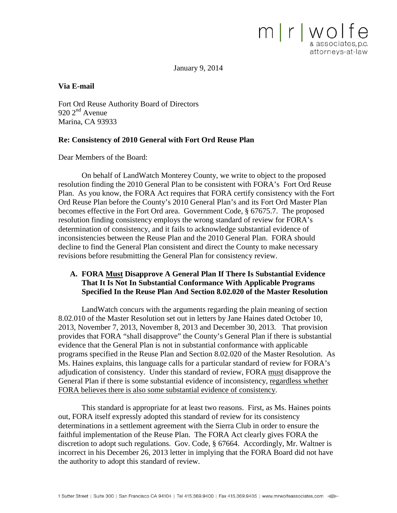January 9, 2014

 $m$   $r$   $w$   $o$   $r$ 

& associates, p.c. attorneys-at-law

#### **Via E-mail**

Fort Ord Reuse Authority Board of Directors  $920$   $2<sup>nd</sup>$  Avenue Marina, CA 93933

#### **Re: Consistency of 2010 General with Fort Ord Reuse Plan**

Dear Members of the Board:

On behalf of LandWatch Monterey County, we write to object to the proposed resolution finding the 2010 General Plan to be consistent with FORA's Fort Ord Reuse Plan. As you know, the FORA Act requires that FORA certify consistency with the Fort Ord Reuse Plan before the County's 2010 General Plan's and its Fort Ord Master Plan becomes effective in the Fort Ord area. Government Code, § 67675.7. The proposed resolution finding consistency employs the wrong standard of review for FORA's determination of consistency, and it fails to acknowledge substantial evidence of inconsistencies between the Reuse Plan and the 2010 General Plan. FORA should decline to find the General Plan consistent and direct the County to make necessary revisions before resubmitting the General Plan for consistency review.

### **A. FORA Must Disapprove A General Plan If There Is Substantial Evidence That It Is Not In Substantial Conformance With Applicable Programs Specified In the Reuse Plan And Section 8.02.020 of the Master Resolution**

LandWatch concurs with the arguments regarding the plain meaning of section 8.02.010 of the Master Resolution set out in letters by Jane Haines dated October 10, 2013, November 7, 2013, November 8, 2013 and December 30, 2013. That provision provides that FORA "shall disapprove" the County's General Plan if there is substantial evidence that the General Plan is not in substantial conformance with applicable programs specified in the Reuse Plan and Section 8.02.020 of the Master Resolution. As Ms. Haines explains, this language calls for a particular standard of review for FORA's adjudication of consistency. Under this standard of review, FORA must disapprove the General Plan if there is some substantial evidence of inconsistency, regardless whether FORA believes there is also some substantial evidence of consistency.

This standard is appropriate for at least two reasons. First, as Ms. Haines points out, FORA itself expressly adopted this standard of review for its consistency determinations in a settlement agreement with the Sierra Club in order to ensure the faithful implementation of the Reuse Plan. The FORA Act clearly gives FORA the discretion to adopt such regulations. Gov. Code, § 67664. Accordingly, Mr. Waltner is incorrect in his December 26, 2013 letter in implying that the FORA Board did not have the authority to adopt this standard of review.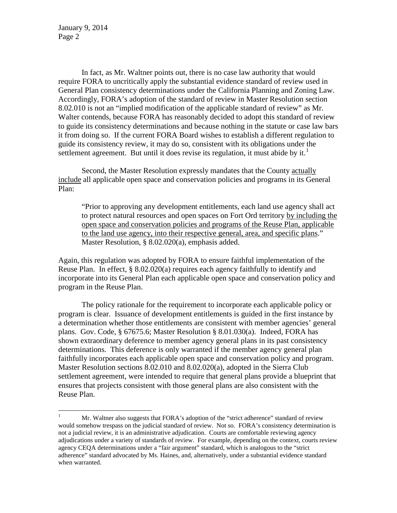January 9, 2014 Page 2

In fact, as Mr. Waltner points out, there is no case law authority that would require FORA to uncritically apply the substantial evidence standard of review used in General Plan consistency determinations under the California Planning and Zoning Law. Accordingly, FORA's adoption of the standard of review in Master Resolution section 8.02.010 is not an "implied modification of the applicable standard of review" as Mr. Walter contends, because FORA has reasonably decided to adopt this standard of review to guide its consistency determinations and because nothing in the statute or case law bars it from doing so. If the current FORA Board wishes to establish a different regulation to guide its consistency review, it may do so, consistent with its obligations under the settlement agreement. But until it does revise its regulation, it must abide by it.<sup>[1](#page-1-0)</sup>

Second, the Master Resolution expressly mandates that the County actually include all applicable open space and conservation policies and programs in its General Plan:

"Prior to approving any development entitlements, each land use agency shall act to protect natural resources and open spaces on Fort Ord territory by including the open space and conservation policies and programs of the Reuse Plan, applicable to the land use agency, into their respective general, area, and specific plans." Master Resolution, § 8.02.020(a), emphasis added.

Again, this regulation was adopted by FORA to ensure faithful implementation of the Reuse Plan. In effect, § 8.02.020(a) requires each agency faithfully to identify and incorporate into its General Plan each applicable open space and conservation policy and program in the Reuse Plan.

The policy rationale for the requirement to incorporate each applicable policy or program is clear. Issuance of development entitlements is guided in the first instance by a determination whether those entitlements are consistent with member agencies' general plans. Gov. Code, § 67675.6; Master Resolution § 8.01.030(a). Indeed, FORA has shown extraordinary deference to member agency general plans in its past consistency determinations. This deference is only warranted if the member agency general plan faithfully incorporates each applicable open space and conservation policy and program. Master Resolution sections 8.02.010 and 8.02.020(a), adopted in the Sierra Club settlement agreement, were intended to require that general plans provide a blueprint that ensures that projects consistent with those general plans are also consistent with the Reuse Plan.

<span id="page-1-0"></span><sup>&</sup>lt;sup>1</sup> Mr. Waltner also suggests that FORA's adoption of the "strict adherence" standard of review would somehow trespass on the judicial standard of review. Not so. FORA's consistency determination is not a judicial review, it is an administrative adjudication. Courts are comfortable reviewing agency adjudications under a variety of standards of review. For example, depending on the context, courts review agency CEQA determinations under a "fair argument" standard, which is analogous to the "strict adherence" standard advocated by Ms. Haines, and, alternatively, under a substantial evidence standard when warranted.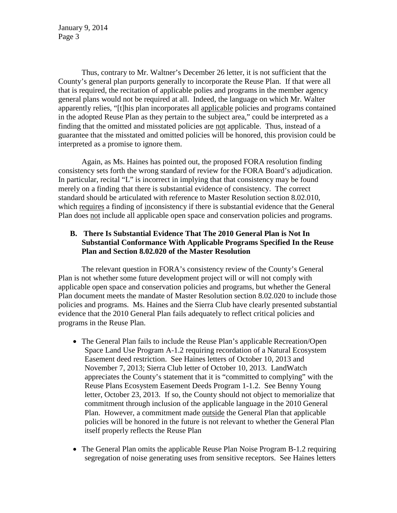January 9, 2014 Page 3

Thus, contrary to Mr. Waltner's December 26 letter, it is not sufficient that the County's general plan purports generally to incorporate the Reuse Plan. If that were all that is required, the recitation of applicable polies and programs in the member agency general plans would not be required at all. Indeed, the language on which Mr. Walter apparently relies, "[t]his plan incorporates all applicable policies and programs contained in the adopted Reuse Plan as they pertain to the subject area," could be interpreted as a finding that the omitted and misstated policies are not applicable. Thus, instead of a guarantee that the misstated and omitted policies will be honored, this provision could be interpreted as a promise to ignore them.

Again, as Ms. Haines has pointed out, the proposed FORA resolution finding consistency sets forth the wrong standard of review for the FORA Board's adjudication. In particular, recital "L" is incorrect in implying that that consistency may be found merely on a finding that there is substantial evidence of consistency. The correct standard should be articulated with reference to Master Resolution section 8.02.010, which requires a finding of inconsistency if there is substantial evidence that the General Plan does not include all applicable open space and conservation policies and programs.

## **B. There Is Substantial Evidence That The 2010 General Plan is Not In Substantial Conformance With Applicable Programs Specified In the Reuse Plan and Section 8.02.020 of the Master Resolution**

The relevant question in FORA's consistency review of the County's General Plan is not whether some future development project will or will not comply with applicable open space and conservation policies and programs, but whether the General Plan document meets the mandate of Master Resolution section 8.02.020 to include those policies and programs. Ms. Haines and the Sierra Club have clearly presented substantial evidence that the 2010 General Plan fails adequately to reflect critical policies and programs in the Reuse Plan.

- The General Plan fails to include the Reuse Plan's applicable Recreation/Open Space Land Use Program A-1.2 requiring recordation of a Natural Ecosystem Easement deed restriction. See Haines letters of October 10, 2013 and November 7, 2013; Sierra Club letter of October 10, 2013. LandWatch appreciates the County's statement that it is "committed to complying" with the Reuse Plans Ecosystem Easement Deeds Program 1-1.2. See Benny Young letter, October 23, 2013. If so, the County should not object to memorialize that commitment through inclusion of the applicable language in the 2010 General Plan. However, a commitment made outside the General Plan that applicable policies will be honored in the future is not relevant to whether the General Plan itself properly reflects the Reuse Plan
- The General Plan omits the applicable Reuse Plan Noise Program B-1.2 requiring segregation of noise generating uses from sensitive receptors. See Haines letters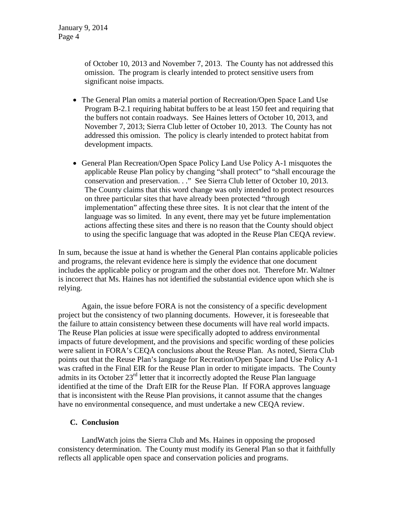of October 10, 2013 and November 7, 2013. The County has not addressed this omission. The program is clearly intended to protect sensitive users from significant noise impacts.

- The General Plan omits a material portion of Recreation/Open Space Land Use Program B-2.1 requiring habitat buffers to be at least 150 feet and requiring that the buffers not contain roadways. See Haines letters of October 10, 2013, and November 7, 2013; Sierra Club letter of October 10, 2013. The County has not addressed this omission. The policy is clearly intended to protect habitat from development impacts.
- General Plan Recreation/Open Space Policy Land Use Policy A-1 misquotes the applicable Reuse Plan policy by changing "shall protect" to "shall encourage the conservation and preservation. . ." See Sierra Club letter of October 10, 2013. The County claims that this word change was only intended to protect resources on three particular sites that have already been protected "through implementation" affecting these three sites. It is not clear that the intent of the language was so limited. In any event, there may yet be future implementation actions affecting these sites and there is no reason that the County should object to using the specific language that was adopted in the Reuse Plan CEQA review.

In sum, because the issue at hand is whether the General Plan contains applicable policies and programs, the relevant evidence here is simply the evidence that one document includes the applicable policy or program and the other does not. Therefore Mr. Waltner is incorrect that Ms. Haines has not identified the substantial evidence upon which she is relying.

Again, the issue before FORA is not the consistency of a specific development project but the consistency of two planning documents. However, it is foreseeable that the failure to attain consistency between these documents will have real world impacts. The Reuse Plan policies at issue were specifically adopted to address environmental impacts of future development, and the provisions and specific wording of these policies were salient in FORA's CEQA conclusions about the Reuse Plan. As noted, Sierra Club points out that the Reuse Plan's language for Recreation/Open Space land Use Policy A-1 was crafted in the Final EIR for the Reuse Plan in order to mitigate impacts. The County admits in its October 23<sup>rd</sup> letter that it incorrectly adopted the Reuse Plan language identified at the time of the Draft EIR for the Reuse Plan. If FORA approves language that is inconsistent with the Reuse Plan provisions, it cannot assume that the changes have no environmental consequence, and must undertake a new CEQA review.

# **C. Conclusion**

LandWatch joins the Sierra Club and Ms. Haines in opposing the proposed consistency determination. The County must modify its General Plan so that it faithfully reflects all applicable open space and conservation policies and programs.